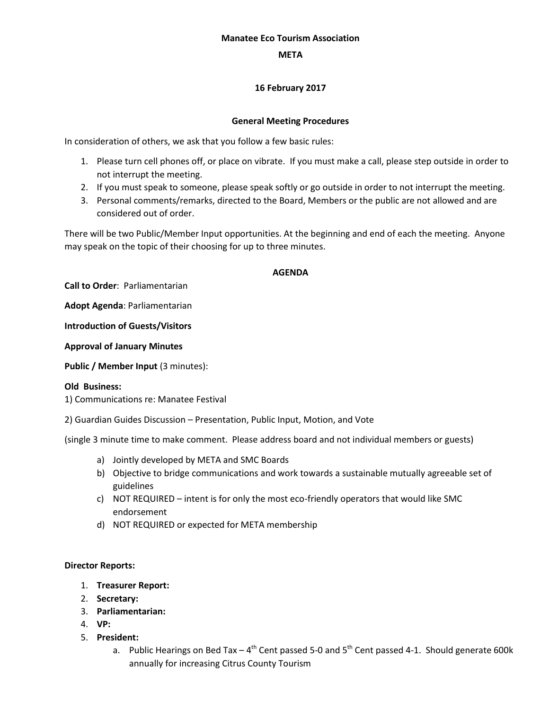## **Manatee Eco Tourism Association**

## **META**

# **16 February 2017**

## **General Meeting Procedures**

In consideration of others, we ask that you follow a few basic rules:

- 1. Please turn cell phones off, or place on vibrate. If you must make a call, please step outside in order to not interrupt the meeting.
- 2. If you must speak to someone, please speak softly or go outside in order to not interrupt the meeting.
- 3. Personal comments/remarks, directed to the Board, Members or the public are not allowed and are considered out of order.

There will be two Public/Member Input opportunities. At the beginning and end of each the meeting. Anyone may speak on the topic of their choosing for up to three minutes.

## **AGENDA**

**Call to Order**: Parliamentarian

**Adopt Agenda**: Parliamentarian

**Introduction of Guests/Visitors**

**Approval of January Minutes**

**Public / Member Input (3 minutes):** 

### **Old Business:**

1) Communications re: Manatee Festival

2) Guardian Guides Discussion – Presentation, Public Input, Motion, and Vote

(single 3 minute time to make comment. Please address board and not individual members or guests)

- a) Jointly developed by META and SMC Boards
- b) Objective to bridge communications and work towards a sustainable mutually agreeable set of guidelines
- c) NOT REQUIRED intent is for only the most eco-friendly operators that would like SMC endorsement
- d) NOT REQUIRED or expected for META membership

### **Director Reports:**

- 1. **Treasurer Report:**
- 2. **Secretary:**
- 3. **Parliamentarian:**
- 4. **VP:**
- 5. **President:**
	- a. Public Hearings on Bed Tax 4<sup>th</sup> Cent passed 5-0 and 5<sup>th</sup> Cent passed 4-1. Should generate 600k annually for increasing Citrus County Tourism